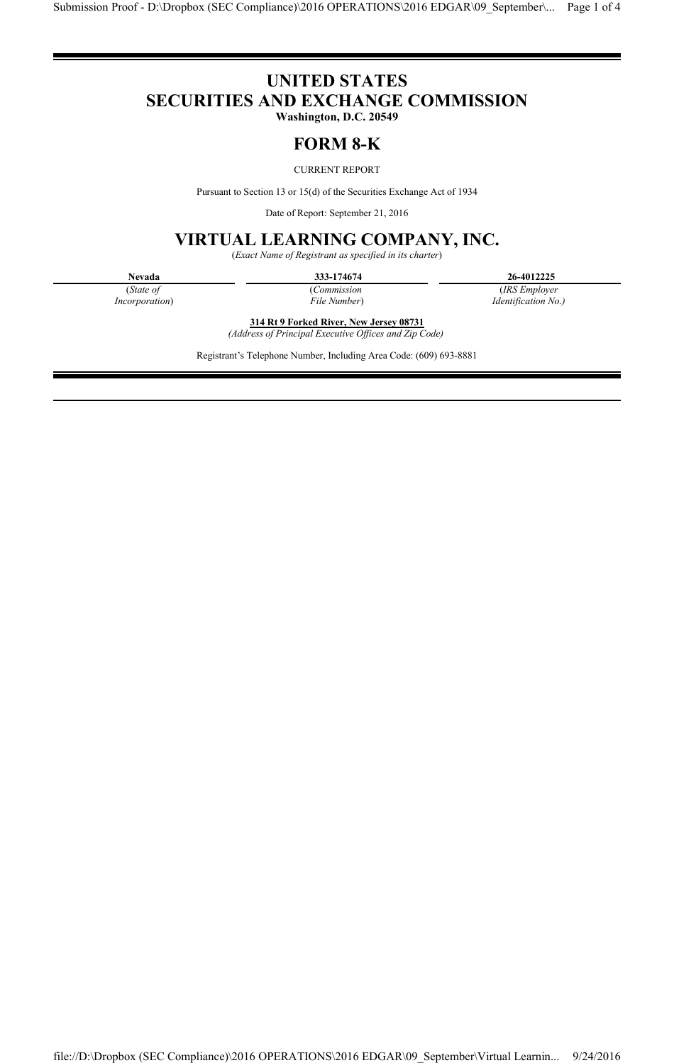# **UNITED STATES SECURITIES AND EXCHANGE COMMISSION**

**Washington, D.C. 20549**

## **FORM 8-K**

### CURRENT REPORT

Pursuant to Section 13 or 15(d) of the Securities Exchange Act of 1934

Date of Report: September 21, 2016

## **VIRTUAL LEARNING COMPANY, INC.**

(*Exact Name of Registrant as specified in its charter*)

(*State of Incorporation*) (*Commission File Number*)

**Nevada 333-174674 26-4012225** (*IRS Employer* 

*Identification No.)* 

**314 Rt 9 Forked River, New Jersey 08731** *(Address of Principal Executive Offices and Zip Code)*

Registrant's Telephone Number, Including Area Code: (609) 693-8881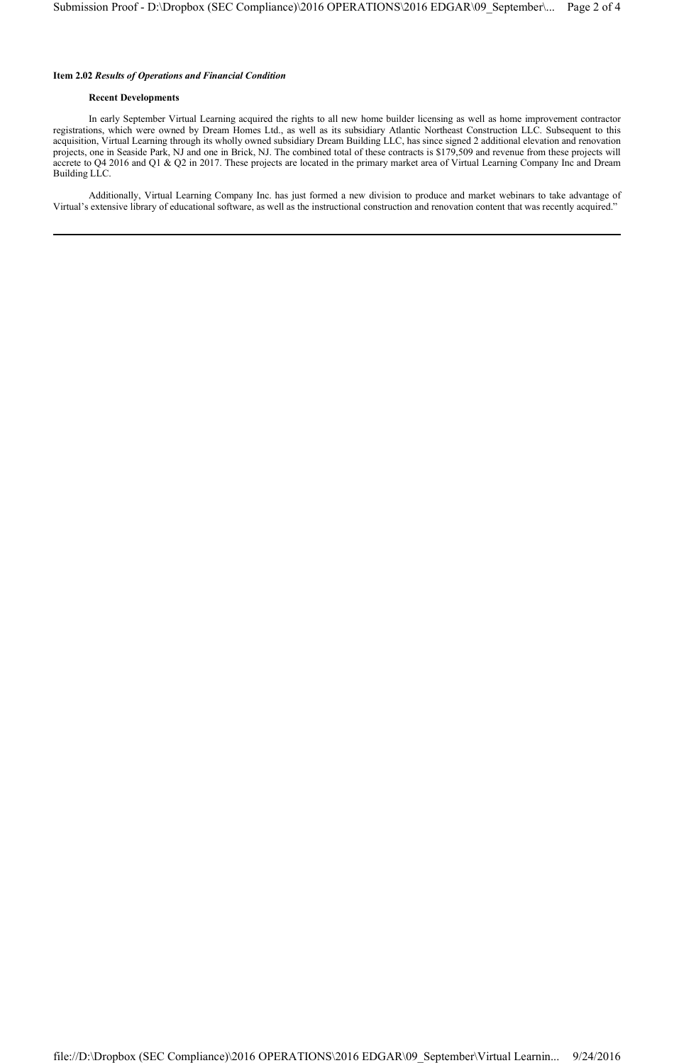#### **Item 2.02** *Results of Operations and Financial Condition*

#### **Recent Developments**

In early September Virtual Learning acquired the rights to all new home builder licensing as well as home improvement contractor registrations, which were owned by Dream Homes Ltd., as well as its subsidiary Atlantic Northeast Construction LLC. Subsequent to this acquisition, Virtual Learning through its wholly owned subsidiary Dream Building LLC, has since signed 2 additional elevation and renovation projects, one in Seaside Park, NJ and one in Brick, NJ. The combined total of these contracts is \$179,509 and revenue from these projects will accrete to Q4 2016 and Q1 & Q2 in 2017. These projects are located in the primary market area of Virtual Learning Company Inc and Dream Building LLC.

Additionally, Virtual Learning Company Inc. has just formed a new division to produce and market webinars to take advantage of Virtual's extensive library of educational software, as well as the instructional construction and renovation content that was recently acquired."